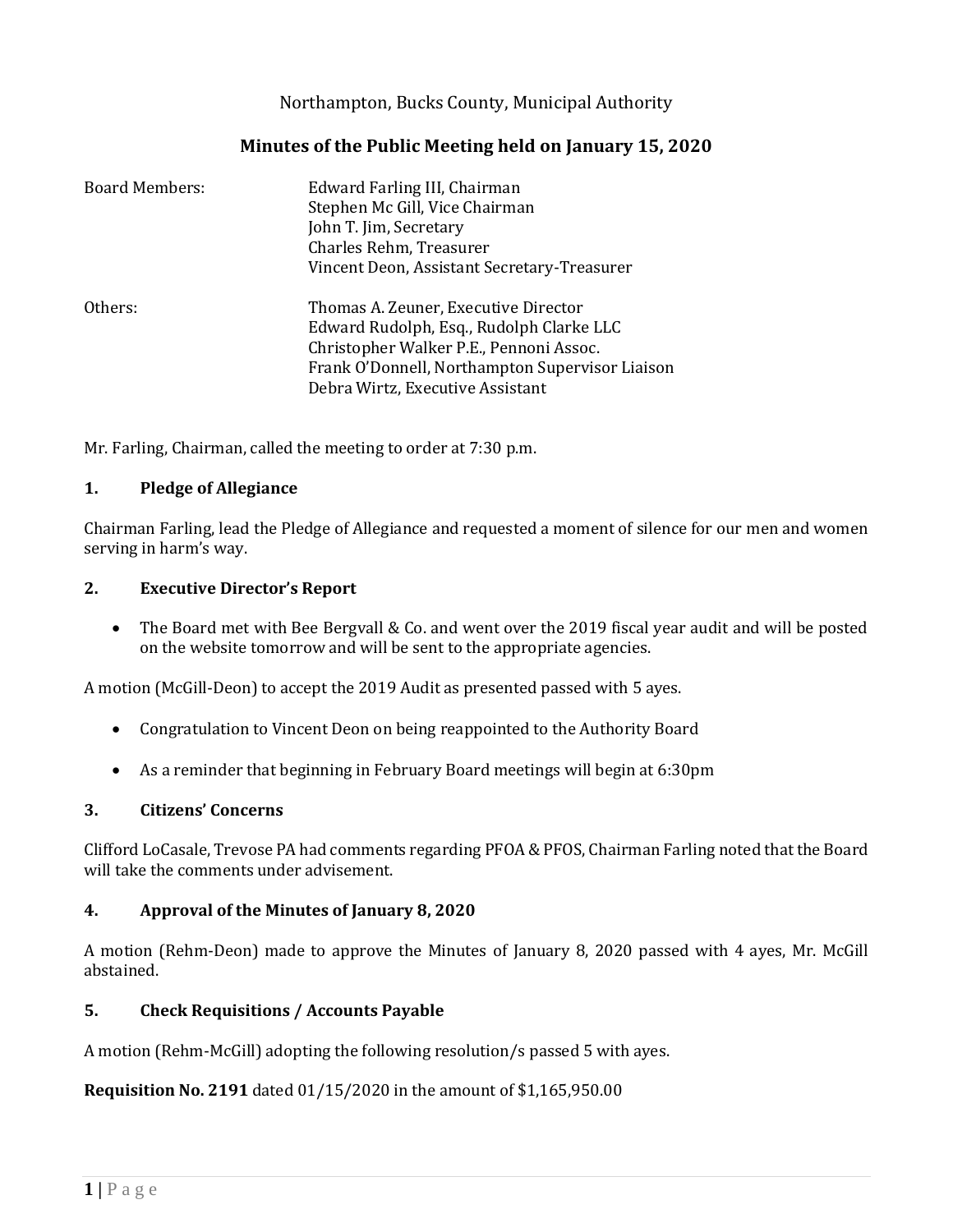Northampton, Bucks County, Municipal Authority

# **Minutes of the Public Meeting held on January 15, 2020**

| <b>Board Members:</b> | Edward Farling III, Chairman<br>Stephen Mc Gill, Vice Chairman<br>John T. Jim, Secretary<br>Charles Rehm, Treasurer<br>Vincent Deon, Assistant Secretary-Treasurer                                                 |
|-----------------------|--------------------------------------------------------------------------------------------------------------------------------------------------------------------------------------------------------------------|
| Others:               | Thomas A. Zeuner, Executive Director<br>Edward Rudolph, Esq., Rudolph Clarke LLC<br>Christopher Walker P.E., Pennoni Assoc.<br>Frank O'Donnell, Northampton Supervisor Liaison<br>Debra Wirtz, Executive Assistant |

Mr. Farling, Chairman, called the meeting to order at 7:30 p.m.

#### **1. Pledge of Allegiance**

Chairman Farling, lead the Pledge of Allegiance and requested a moment of silence for our men and women serving in harm's way.

#### **2. Executive Director's Report**

• The Board met with Bee Bergvall & Co. and went over the 2019 fiscal year audit and will be posted on the website tomorrow and will be sent to the appropriate agencies.

A motion (McGill-Deon) to accept the 2019 Audit as presented passed with 5 ayes.

- Congratulation to Vincent Deon on being reappointed to the Authority Board
- As a reminder that beginning in February Board meetings will begin at 6:30pm

#### **3. Citizens' Concerns**

Clifford LoCasale, Trevose PA had comments regarding PFOA & PFOS, Chairman Farling noted that the Board will take the comments under advisement.

#### **4. Approval of the Minutes of January 8, 2020**

A motion (Rehm-Deon) made to approve the Minutes of January 8, 2020 passed with 4 ayes, Mr. McGill abstained.

# **5. Check Requisitions / Accounts Payable**

A motion (Rehm-McGill) adopting the following resolution/s passed 5 with ayes.

**Requisition No. 2191** dated 01/15/2020 in the amount of \$1,165,950.00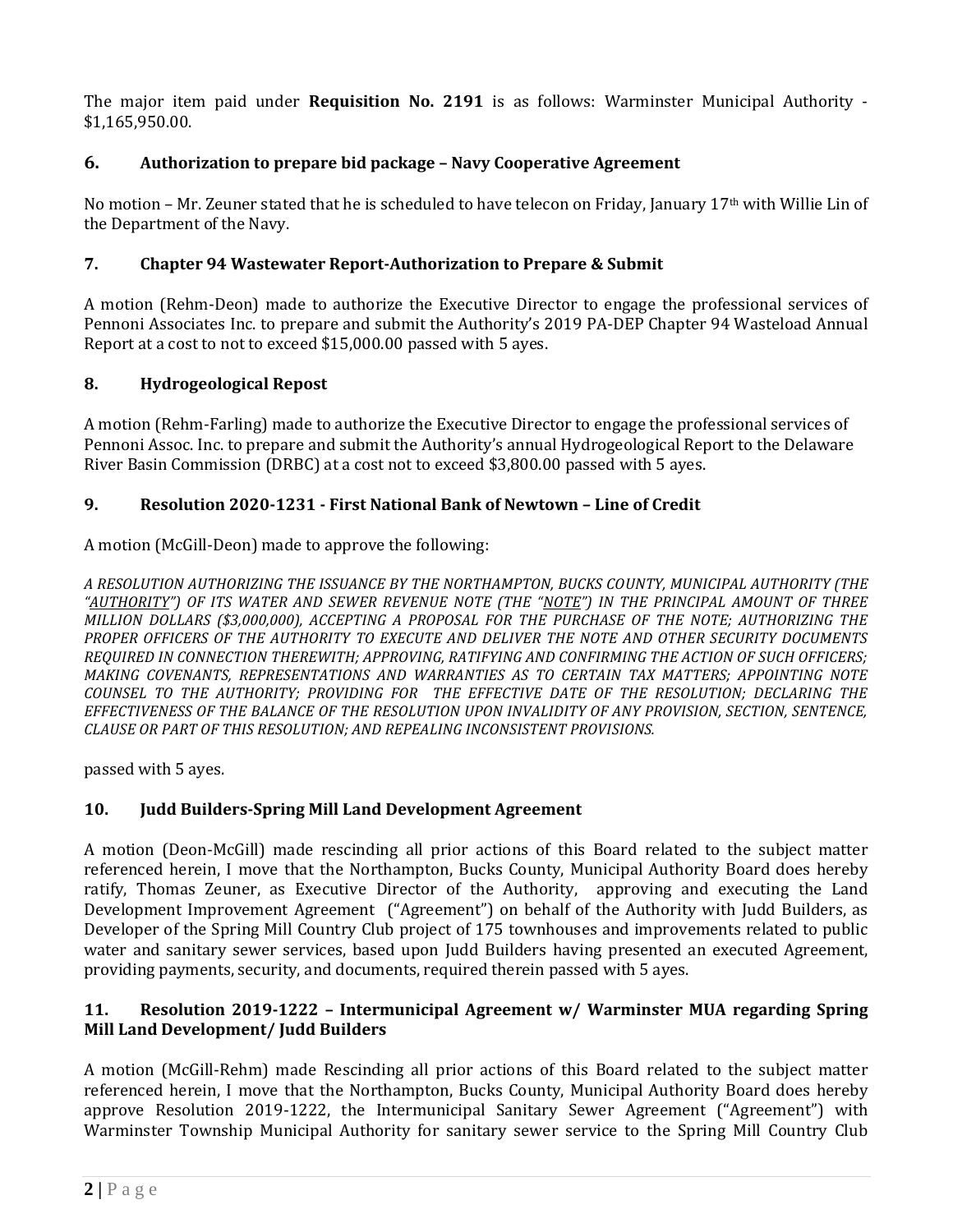The major item paid under **Requisition No. 2191** is as follows: Warminster Municipal Authority - \$1,165,950.00.

# **6. Authorization to prepare bid package – Navy Cooperative Agreement**

No motion – Mr. Zeuner stated that he is scheduled to have telecon on Friday, January 17th with Willie Lin of the Department of the Navy.

### **7. Chapter 94 Wastewater Report-Authorization to Prepare & Submit**

A motion (Rehm-Deon) made to authorize the Executive Director to engage the professional services of Pennoni Associates Inc. to prepare and submit the Authority's 2019 PA-DEP Chapter 94 Wasteload Annual Report at a cost to not to exceed \$15,000.00 passed with 5 ayes.

# **8. Hydrogeological Repost**

A motion (Rehm-Farling) made to authorize the Executive Director to engage the professional services of Pennoni Assoc. Inc. to prepare and submit the Authority's annual Hydrogeological Report to the Delaware River Basin Commission (DRBC) at a cost not to exceed \$3,800.00 passed with 5 ayes.

# **9. Resolution 2020-1231 - First National Bank of Newtown – Line of Credit**

A motion (McGill-Deon) made to approve the following:

*A RESOLUTION AUTHORIZING THE ISSUANCE BY THE NORTHAMPTON, BUCKS COUNTY, MUNICIPAL AUTHORITY (THE "AUTHORITY") OF ITS WATER AND SEWER REVENUE NOTE (THE "NOTE") IN THE PRINCIPAL AMOUNT OF THREE MILLION DOLLARS (\$3,000,000), ACCEPTING A PROPOSAL FOR THE PURCHASE OF THE NOTE; AUTHORIZING THE PROPER OFFICERS OF THE AUTHORITY TO EXECUTE AND DELIVER THE NOTE AND OTHER SECURITY DOCUMENTS REQUIRED IN CONNECTION THEREWITH; APPROVING, RATIFYING AND CONFIRMING THE ACTION OF SUCH OFFICERS; MAKING COVENANTS, REPRESENTATIONS AND WARRANTIES AS TO CERTAIN TAX MATTERS; APPOINTING NOTE COUNSEL TO THE AUTHORITY; PROVIDING FOR THE EFFECTIVE DATE OF THE RESOLUTION; DECLARING THE EFFECTIVENESS OF THE BALANCE OF THE RESOLUTION UPON INVALIDITY OF ANY PROVISION, SECTION, SENTENCE, CLAUSE OR PART OF THIS RESOLUTION; AND REPEALING INCONSISTENT PROVISIONS.*

passed with 5 ayes.

# **10. Judd Builders-Spring Mill Land Development Agreement**

A motion (Deon-McGill) made rescinding all prior actions of this Board related to the subject matter referenced herein, I move that the Northampton, Bucks County, Municipal Authority Board does hereby ratify, Thomas Zeuner, as Executive Director of the Authority, approving and executing the Land Development Improvement Agreement ("Agreement") on behalf of the Authority with Judd Builders, as Developer of the Spring Mill Country Club project of 175 townhouses and improvements related to public water and sanitary sewer services, based upon Judd Builders having presented an executed Agreement, providing payments, security, and documents, required therein passed with 5 ayes.

#### **11. Resolution 2019-1222 – Intermunicipal Agreement w/ Warminster MUA regarding Spring Mill Land Development/ Judd Builders**

A motion (McGill-Rehm) made Rescinding all prior actions of this Board related to the subject matter referenced herein, I move that the Northampton, Bucks County, Municipal Authority Board does hereby approve Resolution 2019-1222, the Intermunicipal Sanitary Sewer Agreement ("Agreement") with Warminster Township Municipal Authority for sanitary sewer service to the Spring Mill Country Club